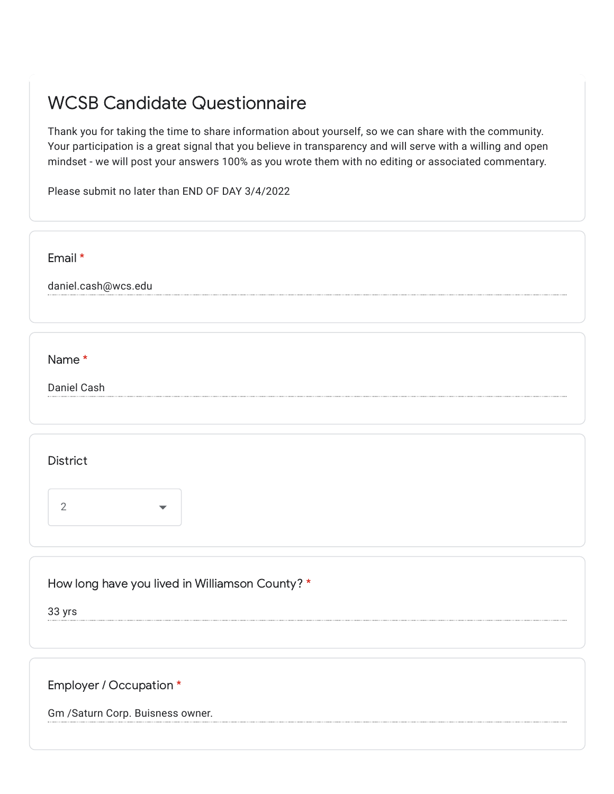## WCSB Candidate Questionnaire

Thank you for taking the time to share information about yourself, so we can share with the community. Your participation is a great signal that you believe in transparency and will serve with a willing and open mindset - we will post your answers 100% as you wrote them with no editing or associated commentary.

Please submit no later than END OF DAY 3/4/2022

| Email *             |  |  |
|---------------------|--|--|
| daniel.cash@wcs.edu |  |  |
|                     |  |  |
|                     |  |  |
| Name *              |  |  |
| Daniel Cash         |  |  |
|                     |  |  |

**District** 



How long have you lived in Williamson County? \*

33 yrs

Employer / Occupation \*

Gm /Saturn Corp. Buisness owner.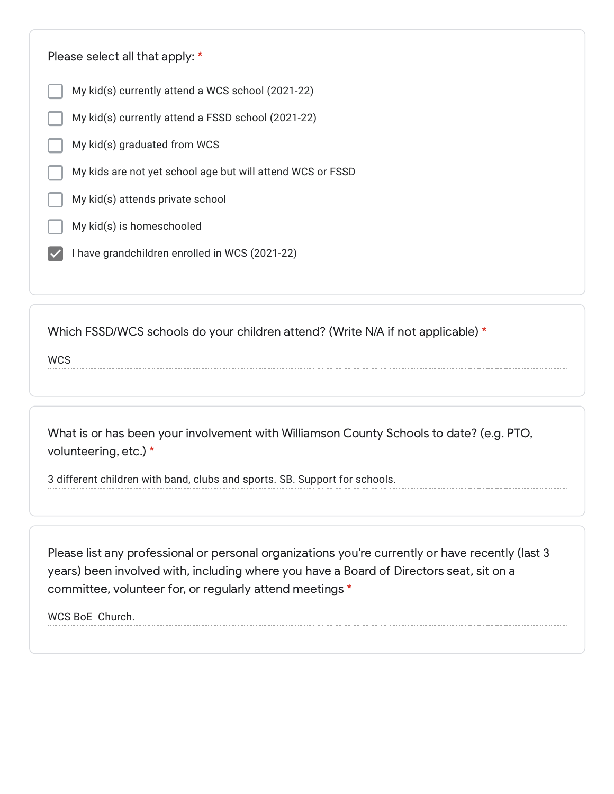| Please select all that apply: *                            |  |  |
|------------------------------------------------------------|--|--|
| My kid(s) currently attend a WCS school (2021-22)          |  |  |
| My kid(s) currently attend a FSSD school (2021-22)         |  |  |
| My kid(s) graduated from WCS                               |  |  |
| My kids are not yet school age but will attend WCS or FSSD |  |  |
| My kid(s) attends private school                           |  |  |
| My kid(s) is homeschooled                                  |  |  |
| I have grandchildren enrolled in WCS (2021-22)             |  |  |
|                                                            |  |  |

Which FSSD/WCS schools do your children attend? (Write N/A if not applicable) \*

**WCS** 

What is or has been your involvement with Williamson County Schools to date? (e.g. PTO, volunteering, etc.) \*

3 different children with band, clubs and sports. SB. Support for schools.

Please list any professional or personal organizations you're currently or have recently (last 3 years) been involved with, including where you have a Board of Directors seat, sit on a committee, volunteer for, or regularly attend meetings \*

WCS BoE Church.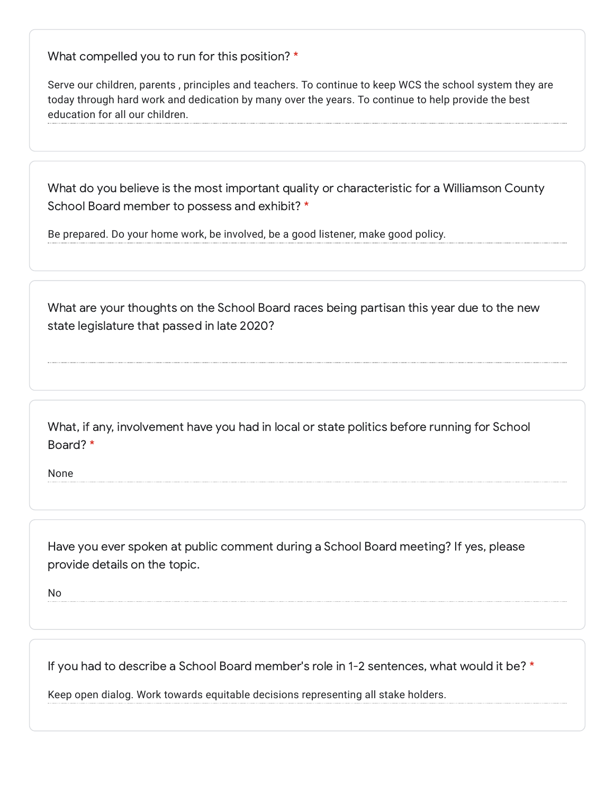What compelled you to run for this position? \*

Serve our children, parents , principles and teachers. To continue to keep WCS the school system they are today through hard work and dedication by many over the years. To continue to help provide the best education for all our children.

What do you believe is the most important quality or characteristic for a Williamson County School Board member to possess and exhibit? \*

Be prepared. Do your home work, be involved, be a good listener, make good policy.

What are your thoughts on the School Board races being partisan this year due to the new state legislature that passed in late 2020?

What, if any, involvement have you had in local or state politics before running for School Board? \*

None

Have you ever spoken at public comment during a School Board meeting? If yes, please provide details on the topic.

No

If you had to describe a School Board member's role in 1-2 sentences, what would it be? \*

Keep open dialog. Work towards equitable decisions representing all stake holders.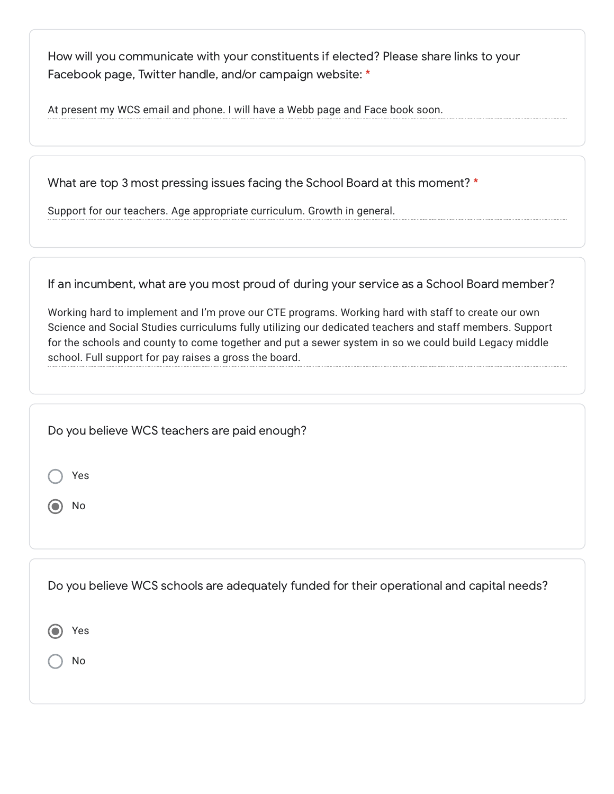How will you communicate with your constituents if elected? Please share links to your Facebook page, Twitter handle, and/or campaign website: \*

At present my WCS email and phone. I will have a Webb page and Face book soon.

What are top 3 most pressing issues facing the School Board at this moment? \*

Support for our teachers. Age appropriate curriculum. Growth in general.

If an incumbent, what are you most proud of during your service as a School Board member?

Working hard to implement and I'm prove our CTE programs. Working hard with staff to create our own Science and Social Studies curriculums fully utilizing our dedicated teachers and staff members. Support for the schools and county to come together and put a sewer system in so we could build Legacy middle school. Full support for pay raises a gross the board.

| Do you believe WCS teachers are paid enough?                                              |
|-------------------------------------------------------------------------------------------|
| Yes                                                                                       |
| No                                                                                        |
|                                                                                           |
| Do you believe WCS schools are adequately funded for their operational and capital needs? |
| Yes                                                                                       |
| No                                                                                        |
|                                                                                           |